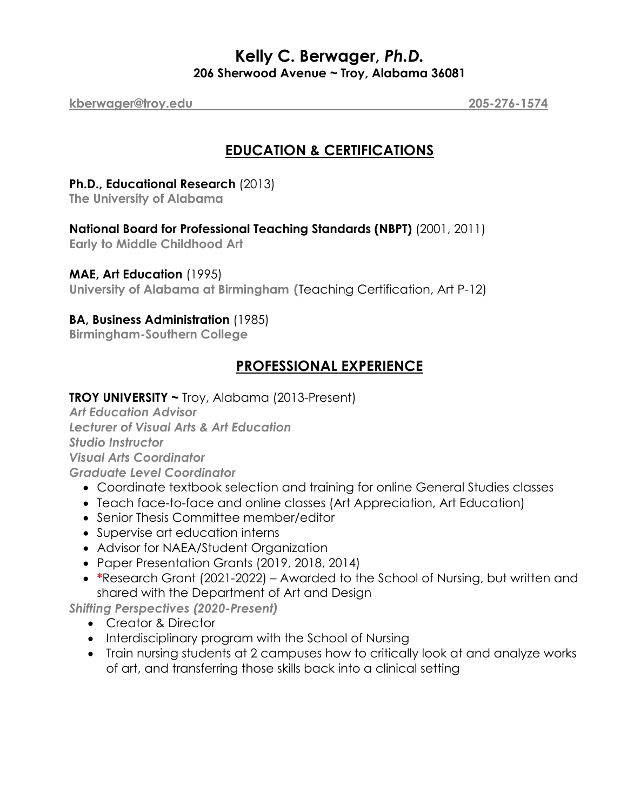## **Kelly C. Berwager,** *Ph.D.* **206 Sherwood Avenue ~ Troy, Alabama 36081**

**kberwager@troy.edu 205-276-1574**

# **EDUCATION & CERTIFICATIONS**

#### **Ph.D., Educational Research** (2013)

**The University of Alabama** 

#### **National Board for Professional Teaching Standards (NBPT)** (2001, 2011)

**Early to Middle Childhood Art**

#### **MAE, Art Education** (1995)

**University of Alabama at Birmingham (**Teaching Certification, Art P-12)

#### **BA, Business Administration** (1985)

**Birmingham-Southern College**

# **PROFESSIONAL EXPERIENCE**

#### **TROY UNIVERSITY ~** Troy, Alabama (2013-Present)

*Art Education Advisor Lecturer of Visual Arts & Art Education Studio Instructor Visual Arts Coordinator Graduate Level Coordinator*

- Coordinate textbook selection and training for online General Studies classes
- Teach face-to-face and online classes (Art Appreciation, Art Education)
- Senior Thesis Committee member/editor
- Supervise art education interns
- Advisor for NAEA/Student Organization
- Paper Presentation Grants (2019, 2018, 2014)
- **\***Research Grant (2021-2022) Awarded to the School of Nursing, but written and shared with the Department of Art and Design

*Shifting Perspectives (2020-Present)*

- Creator & Director
- Interdisciplinary program with the School of Nursing
- Train nursing students at 2 campuses how to critically look at and analyze works of art, and transferring those skills back into a clinical setting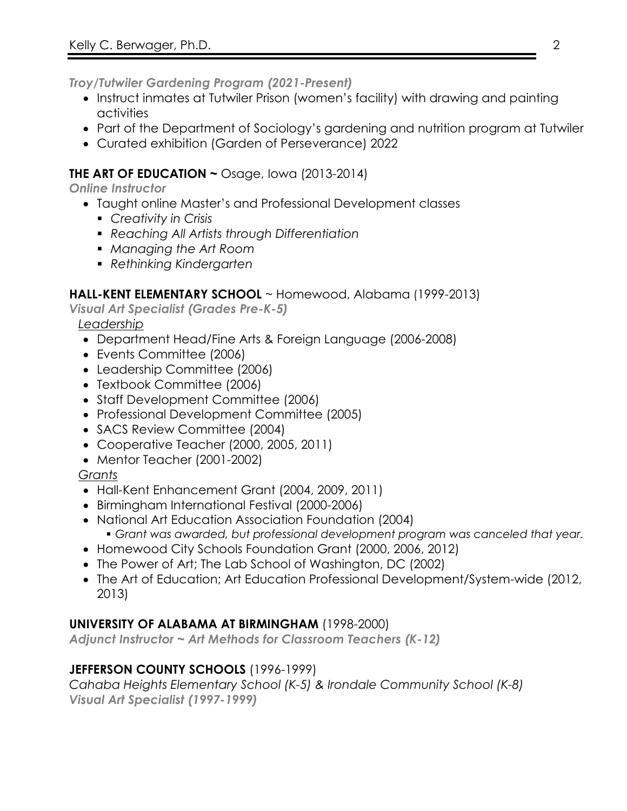*Troy/Tutwiler Gardening Program (2021-Present)*

- Instruct inmates at Tutwiler Prison (women's facility) with drawing and painting activities
- Part of the Department of Sociology's gardening and nutrition program at Tutwiler
- Curated exhibition (Garden of Perseverance) 2022

## **THE ART OF EDUCATION ~** Osage, Iowa (2013-2014)

*Online Instructor*

- Taught online Master's and Professional Development classes
	- § *Creativity in Crisis*
	- § *Reaching All Artists through Differentiation*
	- § *Managing the Art Room*
	- § *Rethinking Kindergarten*

### **HALL-KENT ELEMENTARY SCHOOL** ~ Homewood, Alabama (1999-2013)

*Visual Art Specialist (Grades Pre-K-5)*

*Leadership*

- Department Head/Fine Arts & Foreign Language (2006-2008)
- Events Committee (2006)
- Leadership Committee (2006)
- Textbook Committee (2006)
- Staff Development Committee (2006)
- Professional Development Committee (2005)
- SACS Review Committee (2004)
- Cooperative Teacher (2000, 2005, 2011)
- Mentor Teacher (2001-2002)

### *Grants*

- Hall-Kent Enhancement Grant (2004, 2009, 2011)
- Birmingham International Festival (2000-2006)
- National Art Education Association Foundation (2004) § *Grant was awarded, but professional development program was canceled that year.*
- Homewood City Schools Foundation Grant (2000, 2006, 2012)
- The Power of Art; The Lab School of Washington, DC (2002)
- The Art of Education; Art Education Professional Development/System-wide (2012, 2013)

### **UNIVERSITY OF ALABAMA AT BIRMINGHAM** (1998-2000)

*Adjunct Instructor ~ Art Methods for Classroom Teachers (K-12)*

# **JEFFERSON COUNTY SCHOOLS** (1996-1999)

*Cahaba Heights Elementary School (K-5) & Irondale Community School (K-8) Visual Art Specialist (1997-1999)*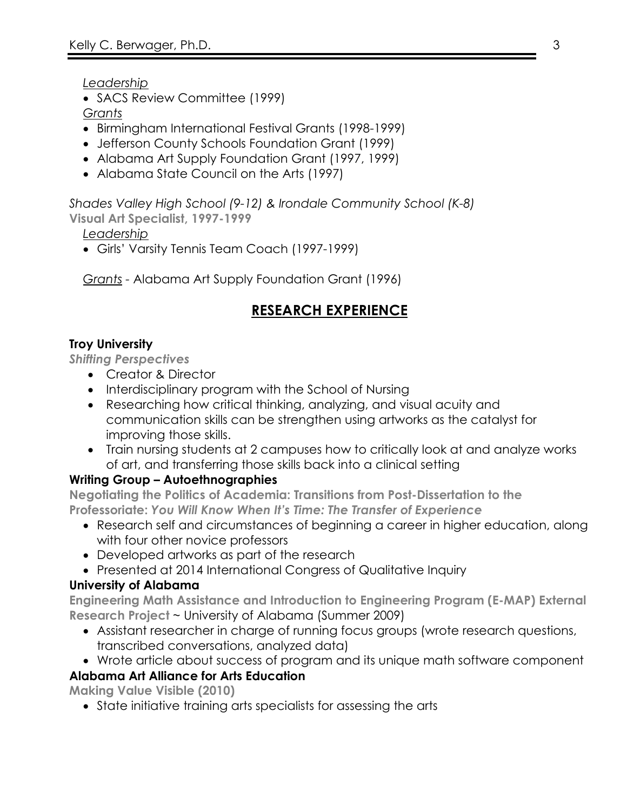*Leadership*

• SACS Review Committee (1999)

*Grants*

- Birmingham International Festival Grants (1998-1999)
- Jefferson County Schools Foundation Grant (1999)
- Alabama Art Supply Foundation Grant (1997, 1999)
- Alabama State Council on the Arts (1997)

*Shades Valley High School (9-12) & Irondale Community School (K-8)*

**Visual Art Specialist, 1997-1999**

*Leadership*

• Girls' Varsity Tennis Team Coach (1997-1999)

*Grants -* Alabama Art Supply Foundation Grant (1996)

# **RESEARCH EXPERIENCE**

### **Troy University**

*Shifting Perspectives*

- Creator & Director
- Interdisciplinary program with the School of Nursing
- Researching how critical thinking, analyzing, and visual acuity and communication skills can be strengthen using artworks as the catalyst for improving those skills.
- Train nursing students at 2 campuses how to critically look at and analyze works of art, and transferring those skills back into a clinical setting

### **Writing Group – Autoethnographies**

**Negotiating the Politics of Academia: Transitions from Post-Dissertation to the Professoriate:** *You Will Know When It's Time: The Transfer of Experience*

- Research self and circumstances of beginning a career in higher education, along with four other novice professors
- Developed artworks as part of the research
- Presented at 2014 International Congress of Qualitative Inquiry

### **University of Alabama**

**Engineering Math Assistance and Introduction to Engineering Program (E-MAP) External Research Project** ~ University of Alabama (Summer 2009)

- Assistant researcher in charge of running focus groups (wrote research questions, transcribed conversations, analyzed data)
- Wrote article about success of program and its unique math software component

### **Alabama Art Alliance for Arts Education**

**Making Value Visible (2010)**

• State initiative training arts specialists for assessing the arts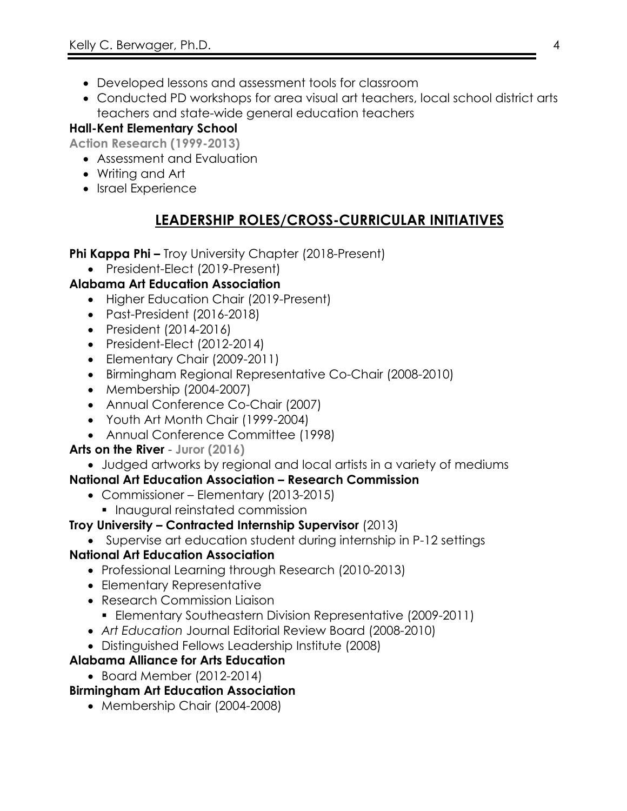- Developed lessons and assessment tools for classroom
- Conducted PD workshops for area visual art teachers, local school district arts teachers and state-wide general education teachers

## **Hall-Kent Elementary School**

**Action Research (1999-2013)**

- Assessment and Evaluation
- Writing and Art
- Israel Experience

# **LEADERSHIP ROLES/CROSS-CURRICULAR INITIATIVES**

**Phi Kappa Phi –** Troy University Chapter (2018-Present)

• President-Elect (2019-Present)

### **Alabama Art Education Association**

- Higher Education Chair (2019-Present)
- Past-President (2016-2018)
- President (2014-2016)
- President-Elect (2012-2014)
- Elementary Chair (2009-2011)
- Birmingham Regional Representative Co-Chair (2008-2010)
- Membership (2004-2007)
- Annual Conference Co-Chair (2007)
- Youth Art Month Chair (1999-2004)
- Annual Conference Committee (1998)

### **Arts on the River** - **Juror (2016)**

• Judged artworks by regional and local artists in a variety of mediums

### **National Art Education Association – Research Commission**

- Commissioner Elementary (2013-2015)
	- Inaugural reinstated commission

### **Troy University – Contracted Internship Supervisor** (2013)

• Supervise art education student during internship in P-12 settings

### **National Art Education Association**

- Professional Learning through Research (2010-2013)
- Elementary Representative
- Research Commission Liaison
	- § Elementary Southeastern Division Representative (2009-2011)
- *Art Education* Journal Editorial Review Board (2008-2010)
- Distinguished Fellows Leadership Institute (2008)

### **Alabama Alliance for Arts Education**

• Board Member (2012-2014)

# **Birmingham Art Education Association**

• Membership Chair (2004-2008)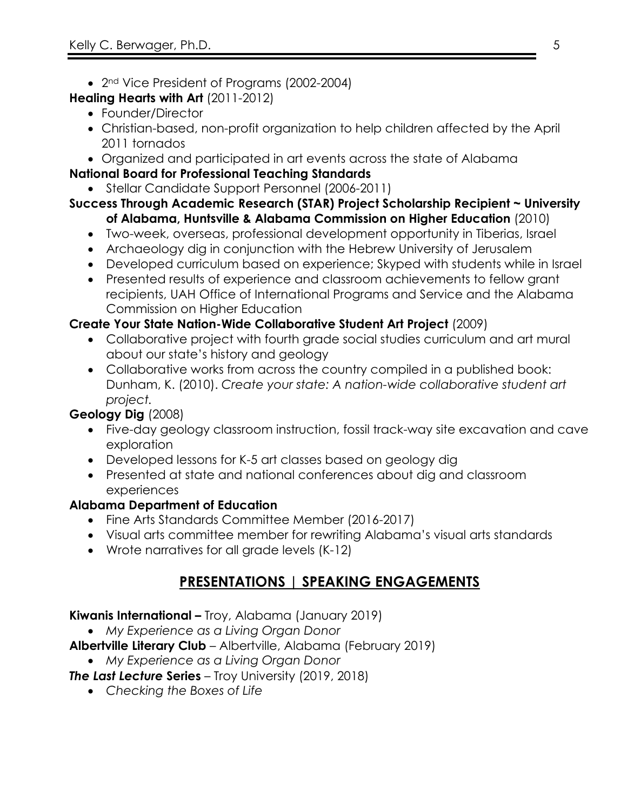- 2<sup>nd</sup> Vice President of Programs (2002-2004)
- **Healing Hearts with Art** (2011-2012)
	- Founder/Director
	- Christian-based, non-profit organization to help children affected by the April 2011 tornados
	- Organized and participated in art events across the state of Alabama
- **National Board for Professional Teaching Standards** 
	- Stellar Candidate Support Personnel (2006-2011)

#### **Success Through Academic Research (STAR) Project Scholarship Recipient ~ University of Alabama, Huntsville & Alabama Commission on Higher Education** (2010)

- Two-week, overseas, professional development opportunity in Tiberias, Israel
- Archaeology dig in conjunction with the Hebrew University of Jerusalem
- Developed curriculum based on experience; Skyped with students while in Israel
- Presented results of experience and classroom achievements to fellow grant recipients, UAH Office of International Programs and Service and the Alabama Commission on Higher Education

## **Create Your State Nation-Wide Collaborative Student Art Project** (2009)

- Collaborative project with fourth grade social studies curriculum and art mural about our state's history and geology
- Collaborative works from across the country compiled in a published book: Dunham, K. (2010). *Create your state: A nation-wide collaborative student art project.*

# **Geology Dig** (2008)

- Five-day geology classroom instruction, fossil track-way site excavation and cave exploration
- Developed lessons for K-5 art classes based on geology dig
- Presented at state and national conferences about dig and classroom experiences

# **Alabama Department of Education**

- Fine Arts Standards Committee Member (2016-2017)
- Visual arts committee member for rewriting Alabama's visual arts standards
- Wrote narratives for all grade levels (K-12)

# **PRESENTATIONS | SPEAKING ENGAGEMENTS**

### **Kiwanis International –** Troy, Alabama (January 2019)

• *My Experience as a Living Organ Donor*

**Albertville Literary Club** – Albertville, Alabama (February 2019)

• *My Experience as a Living Organ Donor*

*The Last Lecture* **Series** – Troy University (2019, 2018)

• *Checking the Boxes of Life*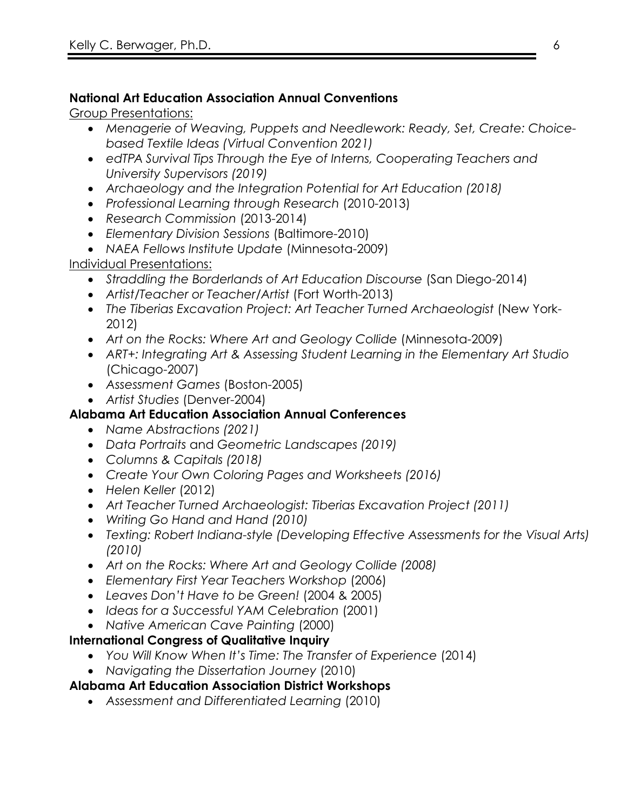## **National Art Education Association Annual Conventions**

Group Presentations:

- *Menagerie of Weaving, Puppets and Needlework: Ready, Set, Create: Choicebased Textile Ideas (Virtual Convention 2021)*
- *edTPA Survival Tips Through the Eye of Interns, Cooperating Teachers and University Supervisors (2019)*
- *Archaeology and the Integration Potential for Art Education (2018)*
- *Professional Learning through Research* (2010-2013)
- *Research Commission* (2013-2014)
- *Elementary Division Sessions* (Baltimore-2010)
- *NAEA Fellows Institute Update* (Minnesota-2009)

Individual Presentations:

- *Straddling the Borderlands of Art Education Discourse* (San Diego-2014)
- *Artist/Teacher or Teacher/Artist* (Fort Worth-2013)
- The Tiberias Excavation Project: Art Teacher Turned Archaeologist (New York-2012)
- *Art on the Rocks: Where Art and Geology Collide* (Minnesota-2009)
- *ART+: Integrating Art & Assessing Student Learning in the Elementary Art Studio* (Chicago-2007)
- *Assessment Games* (Boston-2005)
- *Artist Studies* (Denver-2004)

# **Alabama Art Education Association Annual Conferences**

- *Name Abstractions (2021)*
- *Data Portraits* and *Geometric Landscapes (2019)*
- *Columns & Capitals (2018)*
- *Create Your Own Coloring Pages and Worksheets (2016)*
- *Helen Keller* (2012)
- *Art Teacher Turned Archaeologist: Tiberias Excavation Project (2011)*
- *Writing Go Hand and Hand (2010)*
- *Texting: Robert Indiana-style (Developing Effective Assessments for the Visual Arts) (2010)*
- *Art on the Rocks: Where Art and Geology Collide (2008)*
- *Elementary First Year Teachers Workshop* (2006)
- *Leaves Don't Have to be Green!* (2004 & 2005)
- *Ideas for a Successful YAM Celebration* (2001)
- *Native American Cave Painting* (2000)

### **International Congress of Qualitative Inquiry**

- *You Will Know When It's Time: The Transfer of Experience* (2014)
- *Navigating the Dissertation Journey* (2010)

# **Alabama Art Education Association District Workshops**

• *Assessment and Differentiated Learning* (2010)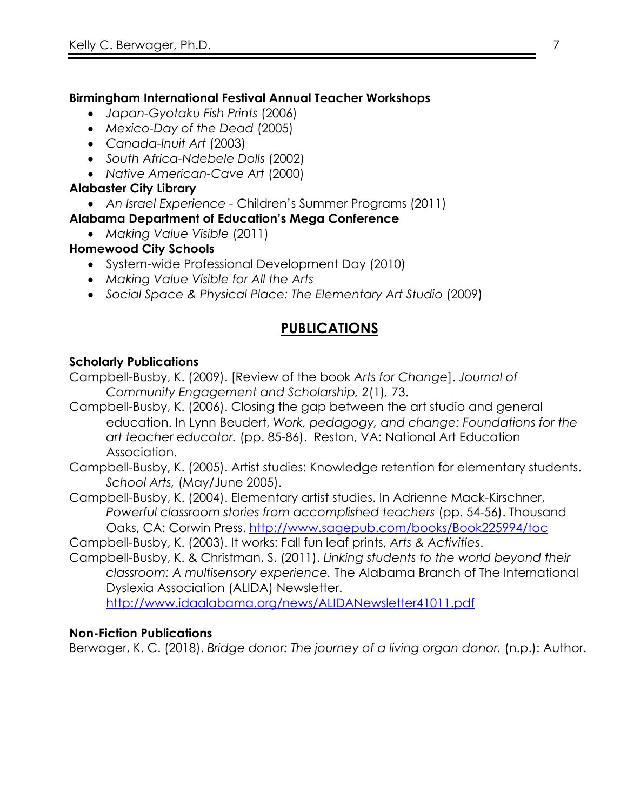### **Birmingham International Festival Annual Teacher Workshops**

- *Japan-Gyotaku Fish Prints* (2006)
- *Mexico-Day of the Dead* (2005)
- *Canada-Inuit Art* (2003)
- *South Africa-Ndebele Dolls* (2002)
- *Native American-Cave Art* (2000)

### **Alabaster City Library**

• *An Israel Experience -* Children's Summer Programs (2011)

### **Alabama Department of Education's Mega Conference**

• *Making Value Visible* (2011)

### **Homewood City Schools**

- System-wide Professional Development Day (2010)
- *Making Value Visible for All the Arts*
- *Social Space & Physical Place: The Elementary Art Studio* (2009)

# **PUBLICATIONS**

### **Scholarly Publications**

Campbell-Busby, K. (2009). [Review of the book *Arts for Change*]. *Journal of Community Engagement and Scholarship, 2*(1)*,* 73.

Campbell-Busby, K. (2006). Closing the gap between the art studio and general education. In Lynn Beudert, *Work, pedagogy, and change: Foundations for the art teacher educator.* (pp. 85-86). Reston, VA: National Art Education Association.

Campbell-Busby, K. (2005). Artist studies: Knowledge retention for elementary students. *School Arts,* (May/June 2005).

Campbell-Busby, K. (2004). Elementary artist studies. In Adrienne Mack-Kirschner, *Powerful classroom stories from accomplished teachers (pp. 54-56). Thousand* Oaks, CA: Corwin Press. http://www.sagepub.com/books/Book225994/toc

Campbell-Busby, K. (2003). It works: Fall fun leaf prints, *Arts & Activities*.

Campbell-Busby, K. & Christman, S. (2011). *Linking students to the world beyond their classroom: A multisensory experience.* The Alabama Branch of The International Dyslexia Association (ALIDA) Newsletter.

http://www.idaalabama.org/news/ALIDANewsletter41011.pdf

### **Non-Fiction Publications**

Berwager, K. C. (2018). *Bridge donor: The journey of a living organ donor.* (n.p.): Author.